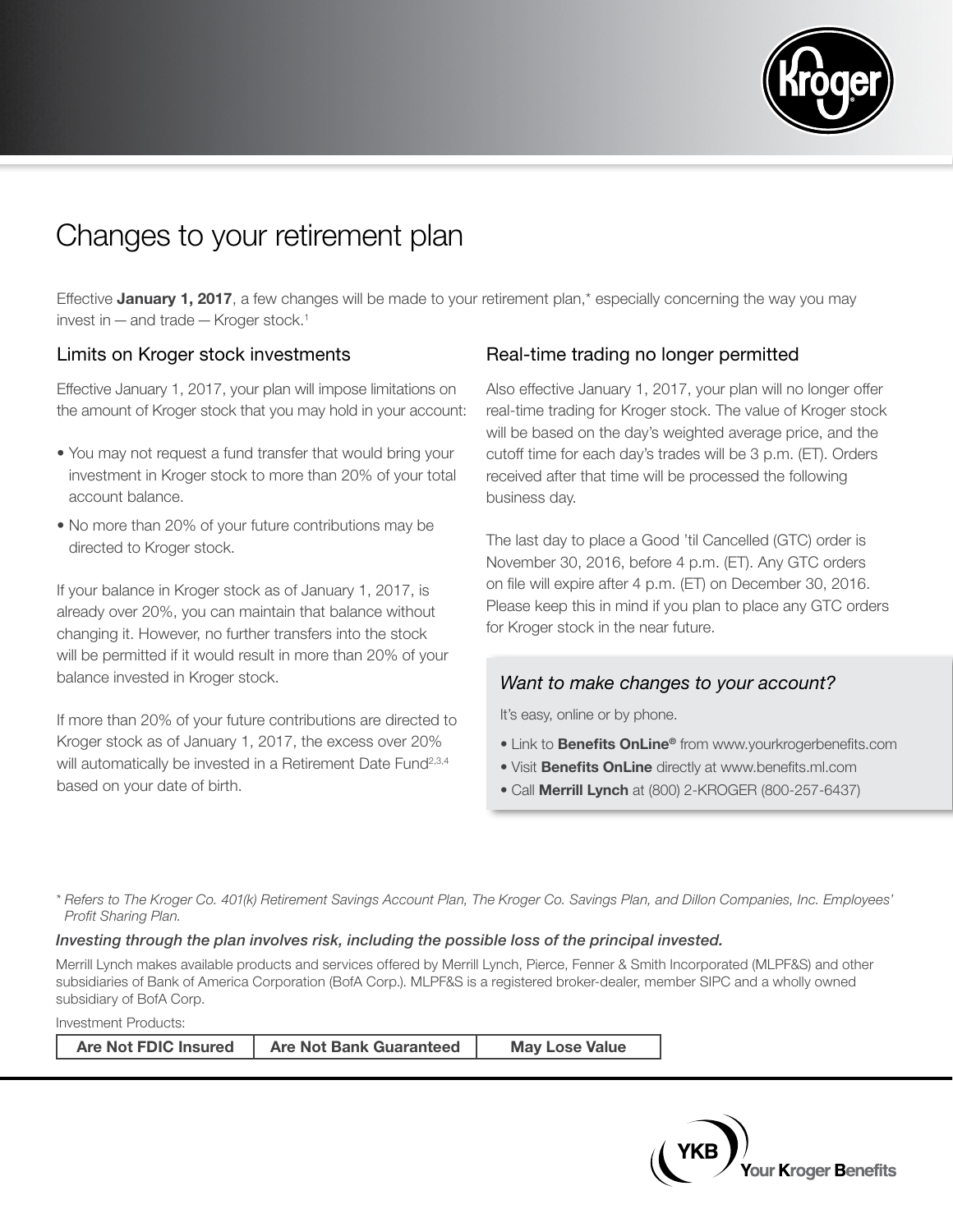

# Changes to your retirement plan

Effective January 1, 2017, a few changes will be made to your retirement plan,\* especially concerning the way you may invest in  $-$  and trade  $-$  Kroger stock.<sup>1</sup>

#### Limits on Kroger stock investments

Effective January 1, 2017, your plan will impose limitations on the amount of Kroger stock that you may hold in your account:

- You may not request a fund transfer that would bring your investment in Kroger stock to more than 20% of your total account balance.
- No more than 20% of your future contributions may be directed to Kroger stock.

If your balance in Kroger stock as of January 1, 2017, is already over 20%, you can maintain that balance without changing it. However, no further transfers into the stock will be permitted if it would result in more than 20% of your balance invested in Kroger stock.

If more than 20% of your future contributions are directed to Kroger stock as of January 1, 2017, the excess over 20% will automatically be invested in a Retirement Date Fund<sup>2,3,4</sup> based on your date of birth.

### Real-time trading no longer permitted

Also effective January 1, 2017, your plan will no longer offer real-time trading for Kroger stock. The value of Kroger stock will be based on the day's weighted average price, and the cutoff time for each day's trades will be 3 p.m. (ET). Orders received after that time will be processed the following business day.

The last day to place a Good 'til Cancelled (GTC) order is November 30, 2016, before 4 p.m. (ET). Any GTC orders on file will expire after 4 p.m. (ET) on December 30, 2016. Please keep this in mind if you plan to place any GTC orders for Kroger stock in the near future.

### *Want to make changes to your account?*

It's easy, online or by phone.

- Link to **Benefits OnLine®** from www.yourkrogerbenefits.com
- Visit **Benefits OnLine** directly at www.benefits.ml.com
- Call **Merrill Lynch** at (800) 2-KROGER (800-257-6437)

*\* Refers to The Kroger Co. 401(k) Retirement Savings Account Plan, The Kroger Co. Savings Plan, and Dillon Companies, Inc. Employees' Profit Sharing Plan.*

#### *Investing through the plan involves risk, including the possible loss of the principal invested.*

Merrill Lynch makes available products and services offered by Merrill Lynch, Pierce, Fenner & Smith Incorporated (MLPF&S) and other subsidiaries of Bank of America Corporation (BofA Corp.). MLPF&S is a registered broker-dealer, member SIPC and a wholly owned subsidiary of BofA Corp.

Investment Products:

| Are Not FDIC Insured | <b>Are Not Bank Guaranteed</b> | <b>May Lose Value</b> |
|----------------------|--------------------------------|-----------------------|
|----------------------|--------------------------------|-----------------------|